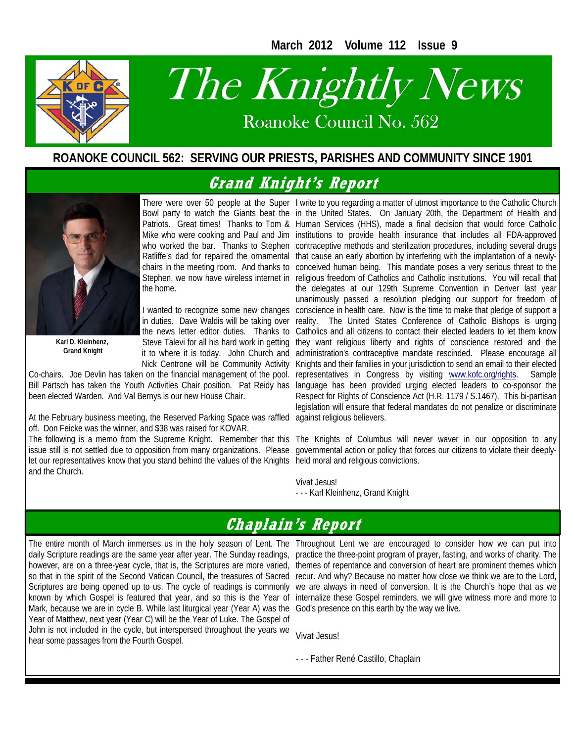**March 2012 Volume 112 Issue 9** 



# The Knightly News

Roanoke Council No. 562 Roanoke Council No. 562

#### **ROANOKE COUNCIL 562: SERVING OUR PRIESTS, PARISHES AND COMMUNITY SINCE 1901**

# **Grand Knight's Report**



**Karl D. Kleinhenz, Grand Knight** 

the home.

in duties. Dave Waldis will be taking over the news letter editor duties. Thanks to Steve Talevi for all his hard work in getting it to where it is today. John Church and Nick Centrone will be Community Activity

Co-chairs. Joe Devlin has taken on the financial management of the pool. Bill Partsch has taken the Youth Activities Chair position. Pat Reidy has been elected Warden. And Val Bernys is our new House Chair.

At the February business meeting, the Reserved Parking Space was raffled off. Don Feicke was the winner, and \$38 was raised for KOVAR.

issue still is not settled due to opposition from many organizations. Please let our representatives know that you stand behind the values of the Knights held moral and religious convictions. and the Church.

There were over 50 people at the Super I write to you regarding a matter of utmost importance to the Catholic Church Bowl party to watch the Giants beat the in the United States. On January 20th, the Department of Health and Patriots. Great times! Thanks to Tom & Human Services (HHS), made a final decision that would force Catholic Mike who were cooking and Paul and Jim institutions to provide health insurance that includes all FDA-approved who worked the bar. Thanks to Stephen contraceptive methods and sterilization procedures, including several drugs Ratliffe's dad for repaired the ornamental that cause an early abortion by interfering with the implantation of a newlychairs in the meeting room. And thanks to conceived human being. This mandate poses a very serious threat to the Stephen, we now have wireless internet in religious freedom of Catholics and Catholic institutions. You will recall that I wanted to recognize some new changes conscience in health care. Now is the time to make that pledge of support a the delegates at our 129th Supreme Convention in Denver last year unanimously passed a resolution pledging our support for freedom of reality. The United States Conference of Catholic Bishops is urging Catholics and all citizens to contact their elected leaders to let them know they want religious liberty and rights of conscience restored and the administration's contraceptive mandate rescinded. Please encourage all Knights and their families in your jurisdiction to send an email to their elected representatives in Congress by visiting www.kofc.org/rights. Sample language has been provided urging elected leaders to co-sponsor the Respect for Rights of Conscience Act (H.R. 1179 / S.1467). This bi-partisan legislation will ensure that federal mandates do not penalize or discriminate against religious believers.

The following is a memo from the Supreme Knight. Remember that this The Knights of Columbus will never waver in our opposition to any governmental action or policy that forces our citizens to violate their deeply-

> Vivat Jesus! - - - Karl Kleinhenz, Grand Knight

# **Chaplain's Report**

The entire month of March immerses us in the holy season of Lent. The Throughout Lent we are encouraged to consider how we can put into daily Scripture readings are the same year after year. The Sunday readings, however, are on a three-year cycle, that is, the Scriptures are more varied, so that in the spirit of the Second Vatican Council, the treasures of Sacred Scriptures are being opened up to us. The cycle of readings is commonly known by which Gospel is featured that year, and so this is the Year of Mark, because we are in cycle B. While last liturgical year (Year A) was the Year of Matthew, next year (Year C) will be the Year of Luke. The Gospel of John is not included in the cycle, but interspersed throughout the years we hear some passages from the Fourth Gospel.

practice the three-point program of prayer, fasting, and works of charity. The themes of repentance and conversion of heart are prominent themes which recur. And why? Because no matter how close we think we are to the Lord, we are always in need of conversion. It is the Church's hope that as we internalize these Gospel reminders, we will give witness more and more to God's presence on this earth by the way we live.

Vivat Jesus!

- - - Father René Castillo, Chaplain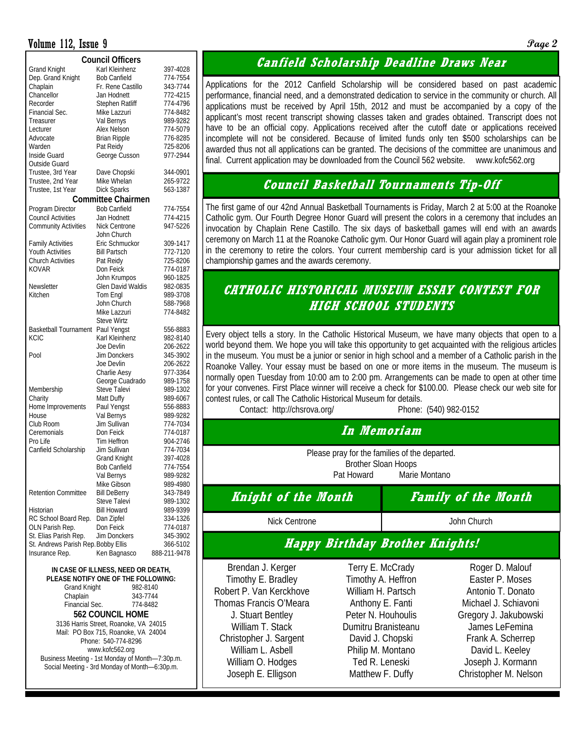#### Volume 112, Issue 9 **Page 2**

| <b>Council Officers</b>             |                           |              |  |  |  |  |  |  |
|-------------------------------------|---------------------------|--------------|--|--|--|--|--|--|
| <b>Grand Knight</b>                 | Karl Kleinhenz            | 397-4028     |  |  |  |  |  |  |
| Dep. Grand Knight                   | <b>Bob Canfield</b>       | 774-7554     |  |  |  |  |  |  |
| Chaplain                            | Fr. Rene Castillo         | 343-7744     |  |  |  |  |  |  |
| Chancellor                          | Jan Hodnett               | 772-4215     |  |  |  |  |  |  |
| Recorder                            | <b>Stephen Ratliff</b>    | 774-4796     |  |  |  |  |  |  |
| Financial Sec.                      | Mike Lazzuri              | 774-8482     |  |  |  |  |  |  |
| Treasurer                           | Val Bernys                | 989-9282     |  |  |  |  |  |  |
| Lecturer                            | Alex Nelson               | 774-5079     |  |  |  |  |  |  |
| Advocate                            | <b>Brian Ripple</b>       | 776-8285     |  |  |  |  |  |  |
| Warden                              | Pat Reidy                 | 725-8206     |  |  |  |  |  |  |
| Inside Guard                        | George Cusson             | 977-2944     |  |  |  |  |  |  |
| Outside Guard                       |                           |              |  |  |  |  |  |  |
| Trustee, 3rd Year                   | Dave Chopski              | 344-0901     |  |  |  |  |  |  |
| Trustee, 2nd Year                   | Mike Whelan               | 265-9722     |  |  |  |  |  |  |
| Trustee, 1st Year                   | <b>Dick Sparks</b>        | 563-1387     |  |  |  |  |  |  |
|                                     | <b>Committee Chairmen</b> |              |  |  |  |  |  |  |
| Program Director                    | <b>Bob Canfield</b>       | 774-7554     |  |  |  |  |  |  |
| <b>Council Activities</b>           | Jan Hodnett               | 774-4215     |  |  |  |  |  |  |
| <b>Community Activities</b>         | Nick Centrone             | 947-5226     |  |  |  |  |  |  |
|                                     | John Church               |              |  |  |  |  |  |  |
| <b>Family Activities</b>            | Eric Schmuckor            | 309-1417     |  |  |  |  |  |  |
| Youth Activities                    | Bill Partsch              | 772-7120     |  |  |  |  |  |  |
| <b>Church Activities</b>            | Pat Reidy                 | 725-8206     |  |  |  |  |  |  |
| <b>KOVAR</b>                        | Don Feick                 | 774-0187     |  |  |  |  |  |  |
|                                     | John Krumpos              | 960-1825     |  |  |  |  |  |  |
| Newsletter                          | <b>Glen David Waldis</b>  | 982-0835     |  |  |  |  |  |  |
| Kitchen                             | Tom Engl                  | 989-3708     |  |  |  |  |  |  |
|                                     | John Church               | 588-7968     |  |  |  |  |  |  |
|                                     | Mike Lazzuri              | 774-8482     |  |  |  |  |  |  |
|                                     | <b>Steve Wirtz</b>        |              |  |  |  |  |  |  |
| Basketball Tournament               | Paul Yengst               | 556-8883     |  |  |  |  |  |  |
| <b>KCIC</b>                         | Karl Kleinhenz            | 982-8140     |  |  |  |  |  |  |
|                                     | Joe Devlin                | 206-2622     |  |  |  |  |  |  |
| Pool                                | <b>Jim Donckers</b>       | 345-3902     |  |  |  |  |  |  |
|                                     | Joe Devlin                | 206-2622     |  |  |  |  |  |  |
|                                     | Charlie Aesy              | 977-3364     |  |  |  |  |  |  |
|                                     | George Cuadrado           | 989-1758     |  |  |  |  |  |  |
| Membership                          | Steve Talevi              | 989-1302     |  |  |  |  |  |  |
| Charity                             | Matt Duffy                | 989-6067     |  |  |  |  |  |  |
| Home Improvements                   | Paul Yengst               | 556-8883     |  |  |  |  |  |  |
| House                               | Val Bernys                | 989-9282     |  |  |  |  |  |  |
| Club Room                           | Jim Sullivan              | 774-7034     |  |  |  |  |  |  |
| Ceremonials                         | Don Feick                 | 774-0187     |  |  |  |  |  |  |
| Pro Life                            | Tim Heffron               | 904-2746     |  |  |  |  |  |  |
| Canfield Scholarship                | Jim Sullivan              | 774-7034     |  |  |  |  |  |  |
|                                     | <b>Grand Knight</b>       | 397-4028     |  |  |  |  |  |  |
|                                     | <b>Bob Canfield</b>       | 774-7554     |  |  |  |  |  |  |
|                                     | Val Bernys                | 989-9282     |  |  |  |  |  |  |
|                                     | Mike Gibson               | 989-4980     |  |  |  |  |  |  |
| <b>Retention Committee</b>          | <b>Bill DeBerry</b>       | 343-7849     |  |  |  |  |  |  |
|                                     | Steve Talevi              | 989-1302     |  |  |  |  |  |  |
| Historian                           | <b>Bill Howard</b>        | 989-9399     |  |  |  |  |  |  |
| RC School Board Rep.                | Dan Zipfel                | 334-1326     |  |  |  |  |  |  |
| OLN Parish Rep.                     | Don Feick                 | 774-0187     |  |  |  |  |  |  |
| St. Elias Parish Rep.               | Jim Donckers              | 345-3902     |  |  |  |  |  |  |
| St. Andrews Parish Rep. Bobby Ellis |                           | 366-5102     |  |  |  |  |  |  |
| Insurance Rep.                      | Ken Bagnasco              | 888-211-9478 |  |  |  |  |  |  |
|                                     |                           |              |  |  |  |  |  |  |

**IN CASE OF ILLNESS, NEED OR DEATH, PLEASE NOTIFY ONE OF THE FOLLOWING:**  Grand Knight 982-8140 Chaplain 343-7744 Financial Sec. 774-8482 **562 COUNCIL HOME**  3136 Harris Street, Roanoke, VA 24015 Mail: PO Box 715, Roanoke, VA 24004 Phone: 540-774-8296 www.kofc562.org Business Meeting - 1st Monday of Month—7:30p.m. Social Meeting - 3rd Monday of Month—6:30p.m.

#### **Canfield Scholarship Deadline Draws Near**

Applications for the 2012 Canfield Scholarship will be considered based on past academic performance, financial need, and a demonstrated dedication to service in the community or church. All applications must be received by April 15th, 2012 and must be accompanied by a copy of the applicant's most recent transcript showing classes taken and grades obtained. Transcript does not have to be an official copy. Applications received after the cutoff date or applications received incomplete will not be considered. Because of limited funds only ten \$500 scholarships can be awarded thus not all applications can be granted. The decisions of the committee are unanimous and final. Current application may be downloaded from the Council 562 website. www.kofc562.org

#### **Council Basketball Tournaments Tip-Off**

The first game of our 42nd Annual Basketball Tournaments is Friday, March 2 at 5:00 at the Roanoke Catholic gym. Our Fourth Degree Honor Guard will present the colors in a ceremony that includes an invocation by Chaplain Rene Castillo. The six days of basketball games will end with an awards ceremony on March 11 at the Roanoke Catholic gym. Our Honor Guard will again play a prominent role in the ceremony to retire the colors. Your current membership card is your admission ticket for all championship games and the awards ceremony.

#### **CATHOLIC HISTORICAL MUSEUM ESSAY CONTEST FOR HIGH SCHOOL STUDENTS**

Every object tells a story. In the Catholic Historical Museum, we have many objects that open to a world beyond them. We hope you will take this opportunity to get acquainted with the religious articles in the museum. You must be a junior or senior in high school and a member of a Catholic parish in the Roanoke Valley. Your essay must be based on one or more items in the museum. The museum is normally open Tuesday from 10:00 am to 2:00 pm. Arrangements can be made to open at other time for your convenes. First Place winner will receive a check for \$100.00. Please check our web site for contest rules, or call The Catholic Historical Museum for details.

Contact: http://chsrova.org/ Phone: (540) 982-0152

#### **In Memoriam**

Please pray for the families of the departed. Brother Sloan Hoops Pat Howard Marie Montano

**Knight of the Month Family of the Month** 

#### Nick Centrone **John Church** John Church

#### **Happy Birthday Brother Knights!**

Brendan J. Kerger Timothy E. Bradley Robert P. Van Kerckhove Thomas Francis O'Meara J. Stuart Bentley William T. Stack Christopher J. Sargent William L. Asbell William O. Hodges Joseph E. Elligson

Terry E. McCrady Timothy A. Heffron William H. Partsch Anthony E. Fanti Peter N. Houhoulis Dumitru Branisteanu David J. Chopski Philip M. Montano Ted R. Leneski Matthew F. Duffy

Roger D. Malouf Easter P. Moses Antonio T. Donato Michael J. Schiavoni Gregory J. Jakubowski James LeFemina Frank A. Scherrep David L. Keeley Joseph J. Kormann Christopher M. Nelson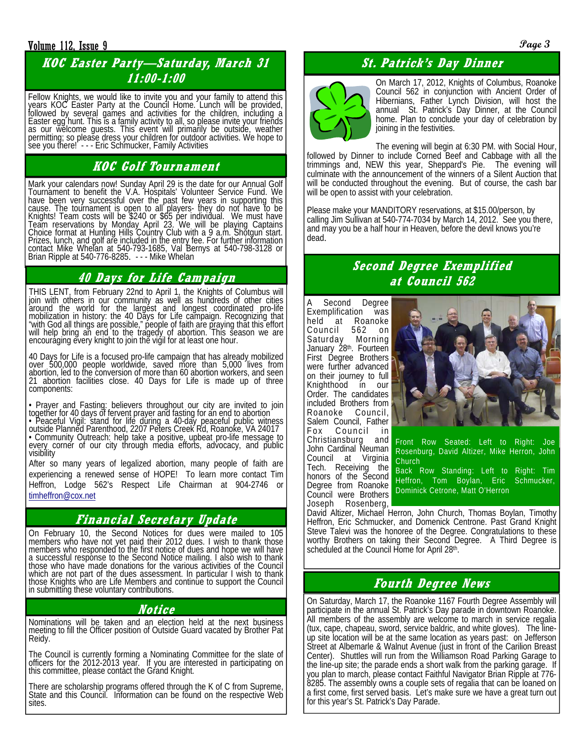#### Volume 112, Issue 9 **Page 3**

## **KOC Easter Party—Saturday, March 31 11:00-1:00**

Fellow Knights, we would like to invite you and your family to attend this years KOC Easter Party at the Council Home. Lunch will be provided, followed by several games and activities for the children, including a Easter egg hunt. This is a family activity to all, so please invite your friends as our welcome guests. This event will primarily be outside, weather permitting; so please dress your children for outdoor activities. We hope to see you there! - - - Eric Schmucker, Family Activities

# **KOC Golf Tournament**

Mark your calendars now! Sunday April 29 is the date for our Annual Golf Tournament to benefit the V.A. Hospitals' Volunteer Service Fund. We have been very successful over the past few years in supporting this cause. The tournament is open to all players- they do not have to be Knights! Team costs will be \$240 or \$65 per individual. We must have Team reservations by Monday April 23. We will be playing Captains<br>Choice format at Hunting Hills Country Club with a 9 a.m. Shotgun start. Prizes, lunch, and golf are included in the entry fee. For further information contact Mike Whelan at 540-793-1685, Val Bernys at 540-798-3128 or<br>Brian Ripple at 540-776-8285. - - - Mike Whelan

### **40 Days for Life Campaign**

THIS LENT, from February 22nd to April 1, the Knights of Columbus will join with others in our community as well as hundreds of other cities around the world for the largest and longest coordinated pro-life mobilization in history: the 40 Days for Life campaign. Recognizing that "with God all things are possible," people of faith are praying that this effort will help bring an end to the tragedy of abortion. This season we are encouraging every knight to join the vigil for at least one hour.

40 Days for Life is a focused pro-life campaign that has already mobilized over 500,000 people worldwide, saved more than 5,000 lives from abortion, led to the conversion of more than 60 abortion workers, and seen 21 abortion facilities close. 40 Days for Life is made up of three components:

• Prayer and Fasting: believers throughout our city are invited to join together for 40 days of fervent prayer and fasting for an end to abortion • Peaceful Vigil: stand for life during a 40-day peaceful public witness outside Planned Parenthood, 2207 Peters Creek Rd, Roanoke, VA 24017 • Community Outreach: help take a positive, upbeat pro-life message to every corner of our city through media efforts, advocacy, and public visibility

After so many years of legalized abortion, many people of faith are experiencing a renewed sense of HOPE! To learn more contact Tim Heffron, Lodge 562's Respect Life Chairman at 904-2746 or timheffron@cox.net

# **Financial Secretary Update**

On February 10, the Second Notices for dues were mailed to 105 members who have not yet paid their 2012 dues. I wish to thank those members who responded to the first notice of dues and hope we will have a successful response to the Second Notice mailing. I also wish to thank those who have made donations for the various activities of the Council which are not part of the dues assessment. In particular I wish to thank those Knights who are Life Members and continue to support the Council in submitting these voluntary contributions.

#### **Notice**

Nominations will be taken and an election held at the next business meeting to fill the Officer position of Outside Guard vacated by Brother Pat Reidy.

The Council is currently forming a Nominating Committee for the slate of officers for the 2012-2013 year. If you are interested in participating on this committee, please contact the Grand Knight.

There are scholarship programs offered through the K of C from Supreme,<br>State and this Council. Information can be found on the respective Web sites.

## **St. Patrick's Day Dinner**



On March 17, 2012, Knights of Columbus, Roanoke Council 562 in conjunction with Ancient Order of Hibernians, Father Lynch Division, will host the annual St. Patrick's Day Dinner, at the Council home. Plan to conclude your day of celebration by joining in the festivities.

The evening will begin at 6:30 PM. with Social Hour, followed by Dinner to include Corned Beef and Cabbage with all the trimmings and, NEW this year, Sheppard's Pie. The evening will culminate with the announcement of the winners of a Silent Auction that will be conducted throughout the evening. But of course, the cash bar will be open to assist with your celebration.

Please make your MANDITORY reservations, at \$15.00/person, by calling Jim Sullivan at 540-774-7034 by March 14, 2012. See you there, and may you be a half hour in Heaven, before the devil knows you're dead.

#### **Second Degree Exemplified at Council 562**

A Second Degree Exemplification was held at Roanoke Council 562 on Saturday Morning January 28<sup>th</sup>. Fourteen First Degree Brothers were further advanced on their journey to full Knighthood in our Order. The candidates included Brothers from Roanoke Council, Salem Council, Father Fox Council in Christiansburg and John Cardinal Neuman Council at Virginia Tech. Receiving the honors of the Second Degree from Roanoke Council were Brothers Joseph Rosenberg,



Front Row Seated: Left to Right: Joe Rosenburg, David Altizer, Mike Herron, John Church

Back Row Standing: Left to Right: Tim Heffron, Tom Boylan, Eric Schmucker, Dominick Cetrone, Matt O'Herron

David Altizer, Michael Herron, John Church, Thomas Boylan, Timothy Heffron, Eric Schmucker, and Domenick Centrone. Past Grand Knight Steve Talevi was the honoree of the Degree. Congratulations to these worthy Brothers on taking their Second Degree. A Third Degree is scheduled at the Council Home for April 28<sup>th</sup>.

#### **Fourth Degree News**

On Saturday, March 17, the Roanoke 1167 Fourth Degree Assembly will participate in the annual St. Patrick's Day parade in downtown Roanoke. All members of the assembly are welcome to march in service regalia (tux, cape, chapeau, sword, service baldric, and white gloves). The lineup site location will be at the same location as years past: on Jefferson Street at Albemarle & Walnut Avenue (just in front of the Carilion Breast Center). Shuttles will run from the Williamson Road Parking Garage to the line-up site; the parade ends a short walk from the parking garage. If you plan to march, please contact Faithful Navigator Brian Ripple at 776- 8285. The assembly owns a couple sets of regalia that can be loaned on a first come, first served basis. Let's make sure we have a great turn out for this year's St. Patrick's Day Parade.